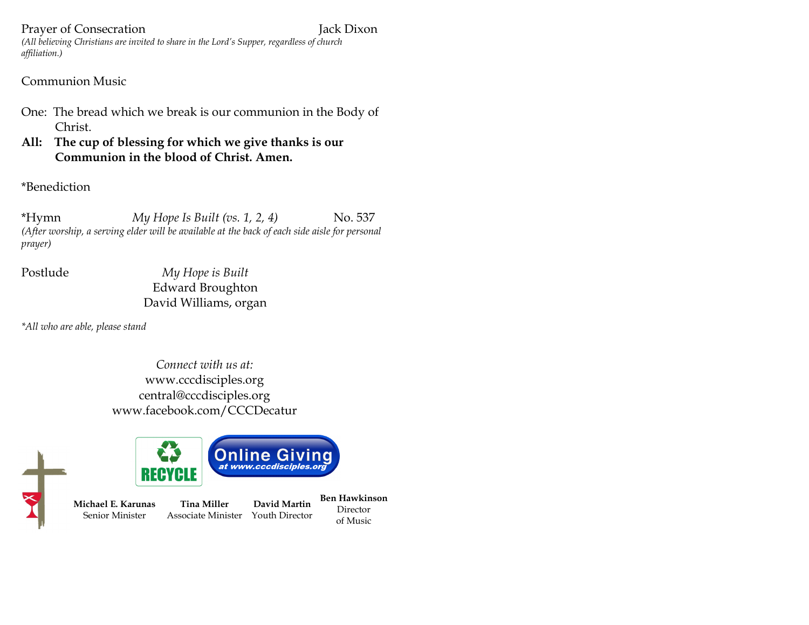#### Prayer of Consecration Jack Dixon

*(All believing Christians are invited to share in the Lord's Supper, regardless of church affiliation.)*

## Communion Music

- One: The bread which we break is our communion in the Body of Christ.
- **All: The cup of blessing for which we give thanks is our Communion in the blood of Christ. Amen.**

\*Benediction

\*Hymn *My Hope Is Built (vs. 1, 2, 4)* No. 537 *(After worship, a serving elder will be available at the back of each side aisle for personal prayer)*

Postlude *My Hope is Built* Edward Broughton David Williams, organ

*\*All who are able, please stand*

*Connect with us at:* www.cccdisciples.org central@cccdisciples.org www.facebook.com/CCCDecatur

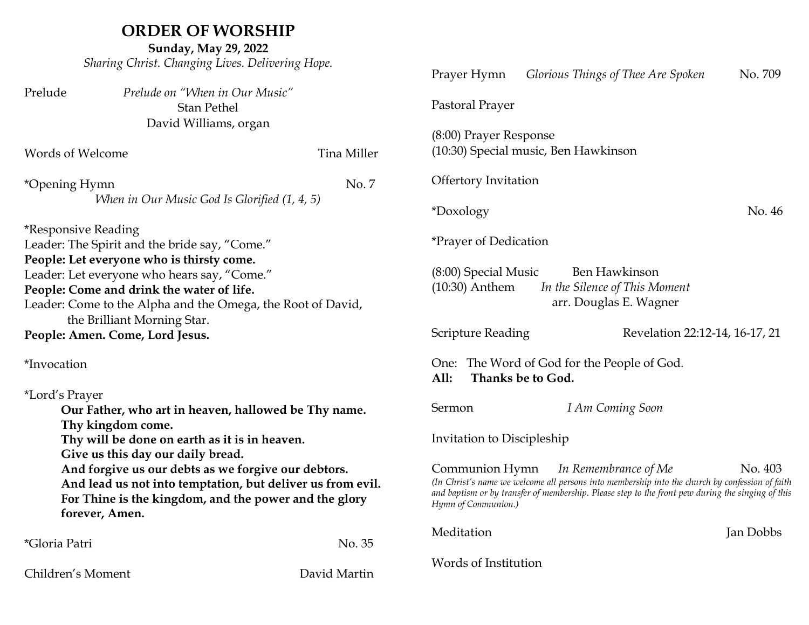# **ORDER OF WORSHIP**

**Sunday, May 29, 2022** *Sharing Christ. Changing Lives. Delivering Hope.*

|                                                                                                                                                                                                                                                                                                         |                                                      |                      | Prayer Hymn                                                                                                                                                                                                                                                                      | Glorious Things of Thee Are Spoken                                              | No. 709   |
|---------------------------------------------------------------------------------------------------------------------------------------------------------------------------------------------------------------------------------------------------------------------------------------------------------|------------------------------------------------------|----------------------|----------------------------------------------------------------------------------------------------------------------------------------------------------------------------------------------------------------------------------------------------------------------------------|---------------------------------------------------------------------------------|-----------|
| Prelude                                                                                                                                                                                                                                                                                                 | Prelude on "When in Our Music"<br><b>Stan Pethel</b> |                      | Pastoral Prayer                                                                                                                                                                                                                                                                  |                                                                                 |           |
| David Williams, organ                                                                                                                                                                                                                                                                                   |                                                      |                      |                                                                                                                                                                                                                                                                                  |                                                                                 |           |
| Words of Welcome                                                                                                                                                                                                                                                                                        |                                                      | Tina Miller          | (8:00) Prayer Response<br>(10:30) Special music, Ben Hawkinson                                                                                                                                                                                                                   |                                                                                 |           |
| *Opening Hymn<br>No. 7                                                                                                                                                                                                                                                                                  |                                                      | Offertory Invitation |                                                                                                                                                                                                                                                                                  |                                                                                 |           |
| When in Our Music God Is Glorified (1, 4, 5)                                                                                                                                                                                                                                                            |                                                      |                      | No. 46<br>*Doxology                                                                                                                                                                                                                                                              |                                                                                 |           |
| <i>*Responsive Reading</i>                                                                                                                                                                                                                                                                              |                                                      |                      |                                                                                                                                                                                                                                                                                  |                                                                                 |           |
| Leader: The Spirit and the bride say, "Come."                                                                                                                                                                                                                                                           |                                                      |                      | <i>*Prayer of Dedication</i>                                                                                                                                                                                                                                                     |                                                                                 |           |
| People: Let everyone who is thirsty come.<br>Leader: Let everyone who hears say, "Come."<br>People: Come and drink the water of life.<br>Leader: Come to the Alpha and the Omega, the Root of David,                                                                                                    |                                                      |                      | (8:00) Special Music<br>$(10:30)$ Anthem                                                                                                                                                                                                                                         | <b>Ben Hawkinson</b><br>In the Silence of This Moment<br>arr. Douglas E. Wagner |           |
|                                                                                                                                                                                                                                                                                                         | the Brilliant Morning Star.                          |                      |                                                                                                                                                                                                                                                                                  |                                                                                 |           |
| People: Amen. Come, Lord Jesus.                                                                                                                                                                                                                                                                         |                                                      |                      | <b>Scripture Reading</b>                                                                                                                                                                                                                                                         | Revelation 22:12-14, 16-17, 21                                                  |           |
| *Invocation                                                                                                                                                                                                                                                                                             |                                                      |                      | One: The Word of God for the People of God.<br>Thanks be to God.<br>All:                                                                                                                                                                                                         |                                                                                 |           |
| *Lord's Prayer                                                                                                                                                                                                                                                                                          |                                                      |                      |                                                                                                                                                                                                                                                                                  |                                                                                 |           |
|                                                                                                                                                                                                                                                                                                         | Our Father, who art in heaven, hallowed be Thy name. |                      | Sermon                                                                                                                                                                                                                                                                           | I Am Coming Soon                                                                |           |
| Thy kingdom come.<br>Thy will be done on earth as it is in heaven.<br>Give us this day our daily bread.<br>And forgive us our debts as we forgive our debtors.<br>And lead us not into temptation, but deliver us from evil.<br>For Thine is the kingdom, and the power and the glory<br>forever, Amen. |                                                      |                      | Invitation to Discipleship                                                                                                                                                                                                                                                       |                                                                                 |           |
|                                                                                                                                                                                                                                                                                                         |                                                      |                      | In Remembrance of Me<br>No. 403<br>Communion Hymn<br>(In Christ's name we welcome all persons into membership into the church by confession of faith<br>and baptism or by transfer of membership. Please step to the front pew during the singing of this<br>Hymn of Communion.) |                                                                                 |           |
| *Gloria Patri                                                                                                                                                                                                                                                                                           |                                                      | No. 35               | Meditation                                                                                                                                                                                                                                                                       |                                                                                 | Jan Dobbs |
| Children's Moment                                                                                                                                                                                                                                                                                       |                                                      | David Martin         | Words of Institution                                                                                                                                                                                                                                                             |                                                                                 |           |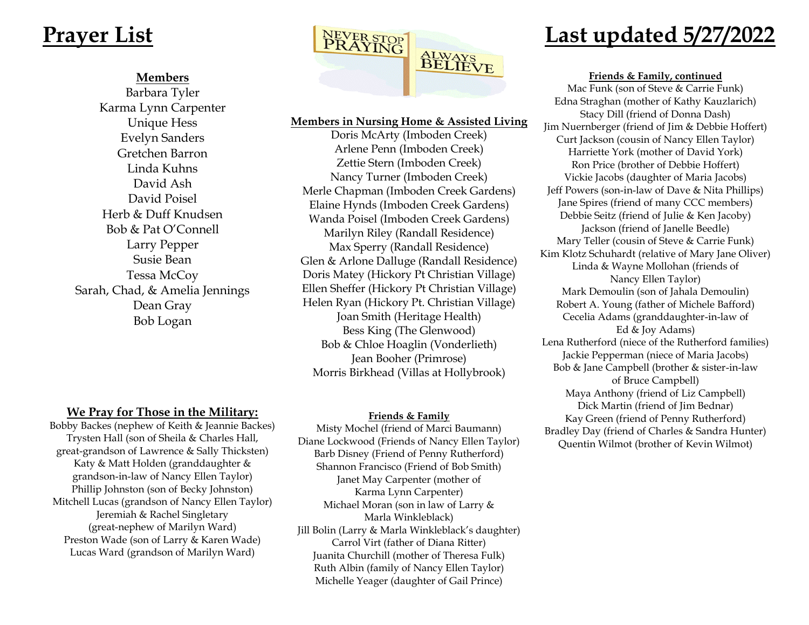#### **Members**

Barbara Tyler Karma Lynn Carpenter Unique Hess Evelyn Sanders Gretchen Barron Linda Kuhns David Ash David Poisel Herb & Duff Knudsen Bob & Pat O'Connell Larry Pepper Susie Bean Tessa McCoy Sarah, Chad, & Amelia Jennings Dean Gray Bob Logan



#### **Members in Nursing Home & Assisted Living**

Doris McArty (Imboden Creek) Arlene Penn (Imboden Creek) Zettie Stern (Imboden Creek) Nancy Turner (Imboden Creek) Merle Chapman (Imboden Creek Gardens) Elaine Hynds (Imboden Creek Gardens) Wanda Poisel (Imboden Creek Gardens) Marilyn Riley (Randall Residence) Max Sperry (Randall Residence) Glen & Arlone Dalluge (Randall Residence) Doris Matey (Hickory Pt Christian Village) Ellen Sheffer (Hickory Pt Christian Village) Helen Ryan (Hickory Pt. Christian Village) Joan Smith (Heritage Health) Bess King (The Glenwood) Bob & Chloe Hoaglin (Vonderlieth) Jean Booher (Primrose) Morris Birkhead (Villas at Hollybrook)

#### **Friends & Family**

Misty Mochel (friend of Marci Baumann) Diane Lockwood (Friends of Nancy Ellen Taylor) Barb Disney (Friend of Penny Rutherford) Shannon Francisco (Friend of Bob Smith) Janet May Carpenter (mother of Karma Lynn Carpenter) Michael Moran (son in law of Larry & Marla Winkleblack) Jill Bolin (Larry & Marla Winkleblack's daughter) Carrol Virt (father of Diana Ritter) Juanita Churchill (mother of Theresa Fulk) Ruth Albin (family of Nancy Ellen Taylor) Michelle Yeager (daughter of Gail Prince)

#### **Friends & Family, continued**

Mac Funk (son of Steve & Carrie Funk) Edna Straghan (mother of Kathy Kauzlarich) Stacy Dill (friend of Donna Dash) Jim Nuernberger (friend of Jim & Debbie Hoffert) Curt Jackson (cousin of Nancy Ellen Taylor) Harriette York (mother of David York) Ron Price (brother of Debbie Hoffert) Vickie Jacobs (daughter of Maria Jacobs) Jeff Powers (son-in-law of Dave & Nita Phillips) Jane Spires (friend of many CCC members) Debbie Seitz (friend of Julie & Ken Jacoby) Jackson (friend of Janelle Beedle) Mary Teller (cousin of Steve & Carrie Funk) Kim Klotz Schuhardt (relative of Mary Jane Oliver) Linda & Wayne Mollohan (friends of Nancy Ellen Taylor) Mark Demoulin (son of Jahala Demoulin) Robert A. Young (father of Michele Bafford) Cecelia Adams (granddaughter-in-law of Ed & Joy Adams) Lena Rutherford (niece of the Rutherford families) Jackie Pepperman (niece of Maria Jacobs) Bob & Jane Campbell (brother & sister-in-law of Bruce Campbell) Maya Anthony (friend of Liz Campbell) Dick Martin (friend of Jim Bednar) Kay Green (friend of Penny Rutherford) Bradley Day (friend of Charles & Sandra Hunter) Quentin Wilmot (brother of Kevin Wilmot)

## **We Pray for Those in the Military:**

Bobby Backes (nephew of Keith & Jeannie Backes) Trysten Hall (son of Sheila & Charles Hall, great-grandson of Lawrence & Sally Thicksten) Katy & Matt Holden (granddaughter & grandson-in-law of Nancy Ellen Taylor) Phillip Johnston (son of Becky Johnston) Mitchell Lucas (grandson of Nancy Ellen Taylor) Jeremiah & Rachel Singletary (great-nephew of Marilyn Ward) Preston Wade (son of Larry & Karen Wade) Lucas Ward (grandson of Marilyn Ward)